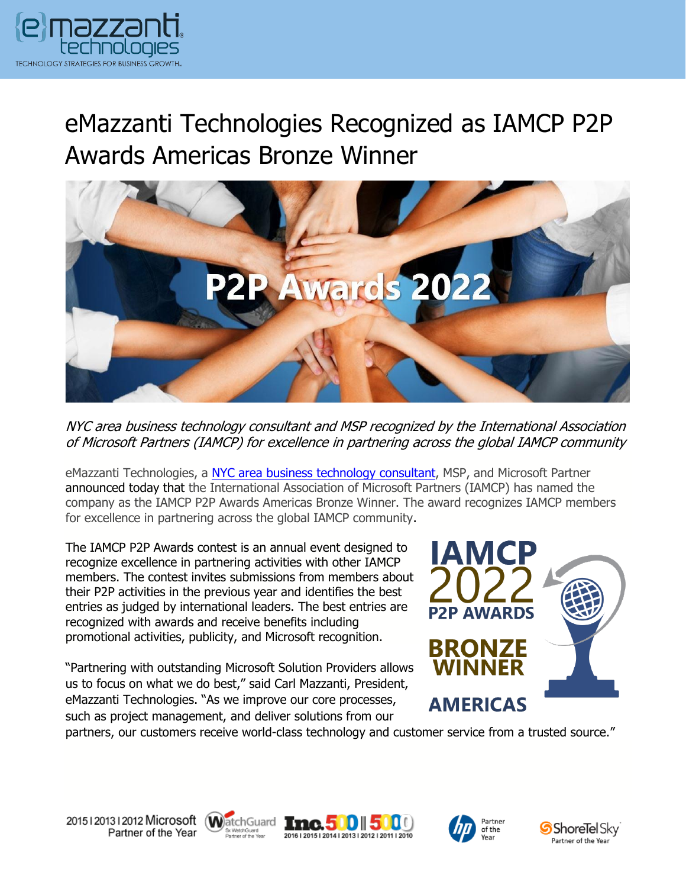

# eMazzanti Technologies Recognized as IAMCP P2P Awards Americas Bronze Winner



NYC area business technology consultant and MSP recognized by the International Association of Microsoft Partners (IAMCP) for excellence in partnering across the global IAMCP community

eMazzanti Technologies, a [NYC area business](https://www.emazzanti.net/) technology consultant, MSP, and Microsoft Partner announced today that the International Association of Microsoft Partners (IAMCP) has named the company as the IAMCP P2P Awards Americas Bronze Winner. The award recognizes IAMCP members for excellence in partnering across the global IAMCP community.

The IAMCP P2P Awards contest is an annual event designed to recognize excellence in partnering activities with other IAMCP members. The contest invites submissions from members about their P2P activities in the previous year and identifies the best entries as judged by international leaders. The best entries are recognized with awards and receive benefits including promotional activities, publicity, and Microsoft recognition.

"Partnering with outstanding Microsoft Solution Providers allows us to focus on what we do best," said Carl Mazzanti, President, eMazzanti Technologies. "As we improve our core processes, such as project management, and deliver solutions from our



partners, our customers receive world-class technology and customer service from a trusted source."









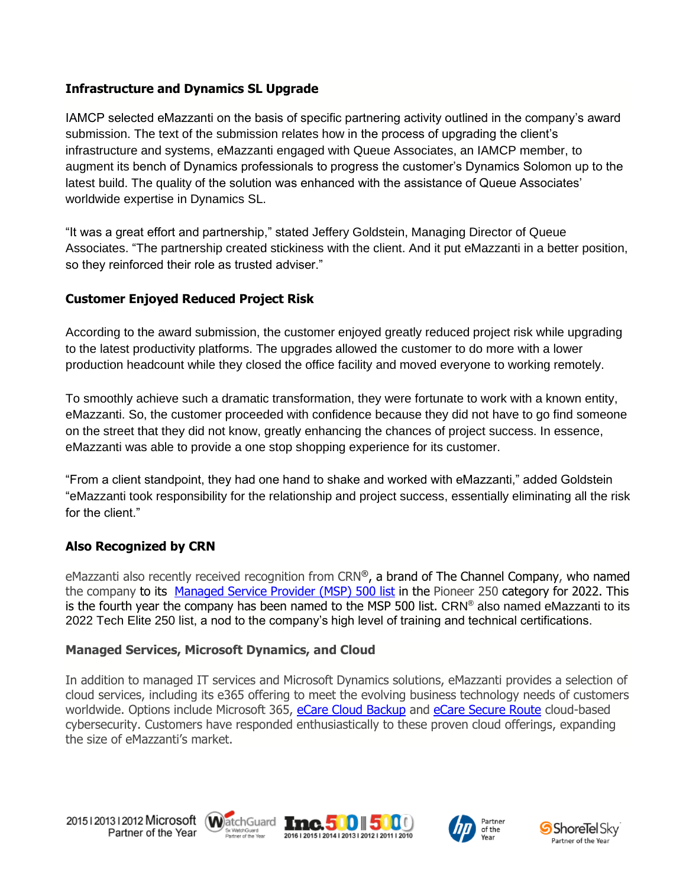#### **Infrastructure and Dynamics SL Upgrade**

IAMCP selected eMazzanti on the basis of specific partnering activity outlined in the company's award submission. The text of the submission relates how in the process of upgrading the client's infrastructure and systems, eMazzanti engaged with Queue Associates, an IAMCP member, to augment its bench of Dynamics professionals to progress the customer's Dynamics Solomon up to the latest build. The quality of the solution was enhanced with the assistance of Queue Associates' worldwide expertise in Dynamics SL.

"It was a great effort and partnership," stated Jeffery Goldstein, Managing Director of Queue Associates. "The partnership created stickiness with the client. And it put eMazzanti in a better position, so they reinforced their role as trusted adviser."

## **Customer Enjoyed Reduced Project Risk**

According to the award submission, the customer enjoyed greatly reduced project risk while upgrading to the latest productivity platforms. The upgrades allowed the customer to do more with a lower production headcount while they closed the office facility and moved everyone to working remotely.

To smoothly achieve such a dramatic transformation, they were fortunate to work with a known entity, eMazzanti. So, the customer proceeded with confidence because they did not have to go find someone on the street that they did not know, greatly enhancing the chances of project success. In essence, eMazzanti was able to provide a one stop shopping experience for its customer.

"From a client standpoint, they had one hand to shake and worked with eMazzanti," added Goldstein "eMazzanti took responsibility for the relationship and project success, essentially eliminating all the risk for the client."

## **Also Recognized by CRN**

eMazzanti also recently received recognition from CRN**®**, a brand of The Channel Company, who named the company to its [Managed Service Provider \(MSP\) 500 list](https://www.emazzanti.net/pioneer-250-msp500-2022/) in the Pioneer 250 category for 2022. This is the fourth year the company has been named to the MSP 500 list. CRN® also named eMazzanti to its 2022 Tech Elite 250 list, a nod to the company's high level of training and technical certifications.

#### **Managed Services, Microsoft Dynamics, and Cloud**

In addition to managed IT services and Microsoft Dynamics solutions, eMazzanti provides a selection of cloud services, including its e365 offering to meet the evolving business technology needs of customers worldwide. Options include Microsoft 365, [eCare Cloud Backup](https://www.emazzanti.net/e365/) and [eCare Secure Route](https://www.emazzanti.net/ecare-secure-route/) cloud-based cybersecurity. Customers have responded enthusiastically to these proven cloud offerings, expanding the size of eMazzanti's market.

20151201312012 Microsoft WatchGuard Tnc. 500 500 Partner of the Year